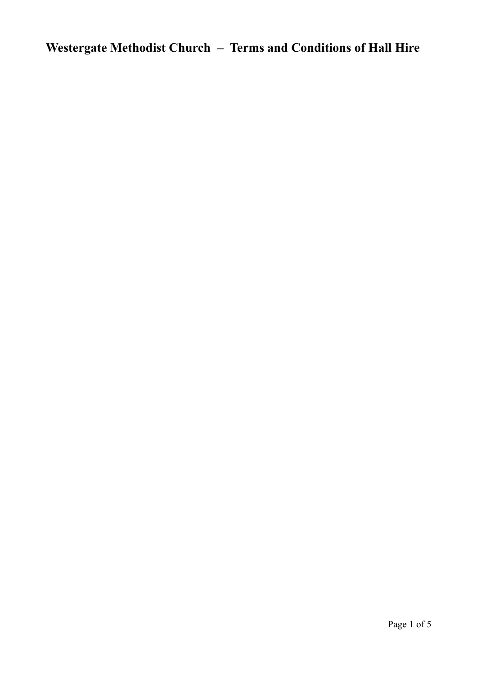## **Westergate Methodist Church – Terms and Conditions of Hall Hire**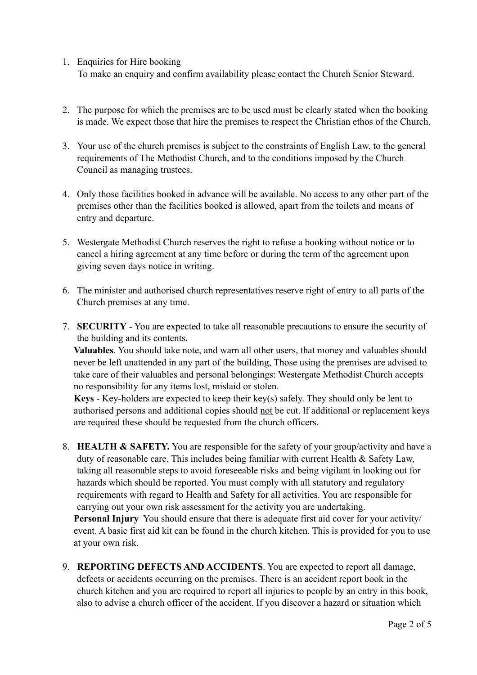## 1. Enquiries for Hire booking

To make an enquiry and confirm availability please contact the Church Senior Steward.

- 2. The purpose for which the premises are to be used must be clearly stated when the booking is made. We expect those that hire the premises to respect the Christian ethos of the Church.
- 3. Your use of the church premises is subject to the constraints of English Law, to the general requirements of The Methodist Church, and to the conditions imposed by the Church Council as managing trustees.
- 4. Only those facilities booked in advance will be available. No access to any other part of the premises other than the facilities booked is allowed, apart from the toilets and means of entry and departure.
- 5. Westergate Methodist Church reserves the right to refuse a booking without notice or to cancel a hiring agreement at any time before or during the term of the agreement upon giving seven days notice in writing.
- 6. The minister and authorised church representatives reserve right of entry to all parts of the Church premises at any time.
- 7. **SECURITY** You are expected to take all reasonable precautions to ensure the security of the building and its contents.

**Valuables**. You should take note, and warn all other users, that money and valuables should never be left unattended in any part of the building, Those using the premises are advised to take care of their valuables and personal belongings: Westergate Methodist Church accepts no responsibility for any items lost, mislaid or stolen.

**Keys** - Key-holders are expected to keep their key(s) safely. They should only be lent to authorised persons and additional copies should not be cut. lf additional or replacement keys are required these should be requested from the church officers.

8. **HEALTH & SAFETY.** You are responsible for the safety of your group/activity and have a duty of reasonable care. This includes being familiar with current Health & Safety Law, taking all reasonable steps to avoid foreseeable risks and being vigilant in looking out for hazards which should be reported. You must comply with all statutory and regulatory requirements with regard to Health and Safety for all activities. You are responsible for carrying out your own risk assessment for the activity you are undertaking. **Personal Injury** You should ensure that there is adequate first aid cover for your activity/

event. A basic first aid kit can be found in the church kitchen. This is provided for you to use at your own risk.

9. **REPORTING DEFECTS AND ACCIDENTS**. You are expected to report all damage, defects or accidents occurring on the premises. There is an accident report book in the church kitchen and you are required to report all injuries to people by an entry in this book, also to advise a church officer of the accident. If you discover a hazard or situation which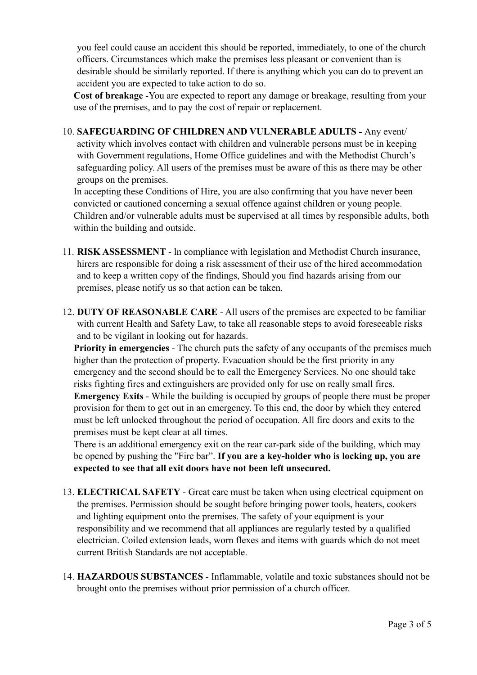you feel could cause an accident this should be reported, immediately, to one of the church officers. Circumstances which make the premises less pleasant or convenient than is desirable should be similarly reported. If there is anything which you can do to prevent an accident you are expected to take action to do so.

**Cost of breakage** -You are expected to report any damage or breakage, resulting from your use of the premises, and to pay the cost of repair or replacement.

10. **SAFEGUARDING OF CHILDREN AND VULNERABLE ADULTS -** Any event/ activity which involves contact with children and vulnerable persons must be in keeping with Government regulations, Home Office guidelines and with the Methodist Church's safeguarding policy. All users of the premises must be aware of this as there may be other groups on the premises.

In accepting these Conditions of Hire, you are also confirming that you have never been convicted or cautioned concerning a sexual offence against children or young people. Children and/or vulnerable adults must be supervised at all times by responsible adults, both within the building and outside.

- 11. **RISK ASSESSMENT** ln compliance with legislation and Methodist Church insurance, hirers are responsible for doing a risk assessment of their use of the hired accommodation and to keep a written copy of the findings, Should you find hazards arising from our premises, please notify us so that action can be taken.
- 12. **DUTY OF REASONABLE CARE** All users of the premises are expected to be familiar with current Health and Safety Law, to take all reasonable steps to avoid foreseeable risks and to be vigilant in looking out for hazards.

**Priority in emergencies** - The church puts the safety of any occupants of the premises much higher than the protection of property. Evacuation should be the first priority in any emergency and the second should be to call the Emergency Services. No one should take risks fighting fires and extinguishers are provided only for use on really small fires. **Emergency Exits** - While the building is occupied by groups of people there must be proper provision for them to get out in an emergency. To this end, the door by which they entered must be left unlocked throughout the period of occupation. All fire doors and exits to the premises must be kept clear at all times.

There is an additional emergency exit on the rear car-park side of the building, which may be opened by pushing the "Fire bar". **If you are a key-holder who is locking up, you are expected to see that all exit doors have not been left unsecured.**

- 13. **ELECTRICAL SAFETY** Great care must be taken when using electrical equipment on the premises. Permission should be sought before bringing power tools, heaters, cookers and lighting equipment onto the premises. The safety of your equipment is your responsibility and we recommend that all appliances are regularly tested by a qualified electrician. Coiled extension leads, worn flexes and items with guards which do not meet current British Standards are not acceptable.
- 14. **HAZARDOUS SUBSTANCES** Inflammable, volatile and toxic substances should not be brought onto the premises without prior permission of a church officer.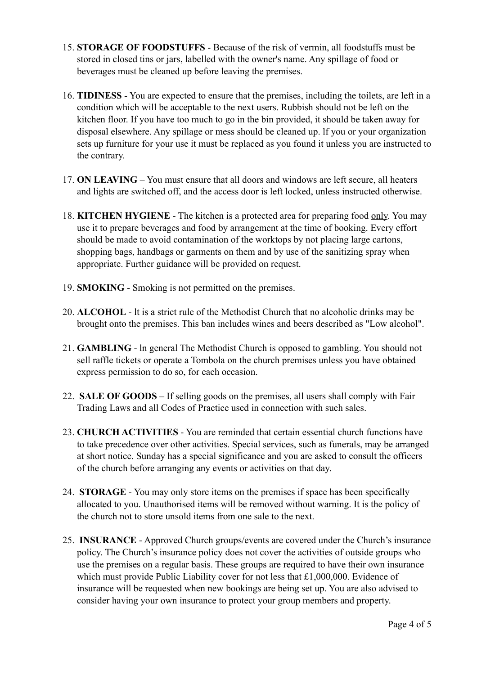- 15. **STORAGE OF FOODSTUFFS** Because of the risk of vermin, all foodstuffs must be stored in closed tins or jars, labelled with the owner's name. Any spillage of food or beverages must be cleaned up before leaving the premises.
- 16. **TIDINESS** You are expected to ensure that the premises, including the toilets, are left in a condition which will be acceptable to the next users. Rubbish should not be left on the kitchen floor. If you have too much to go in the bin provided, it should be taken away for disposal elsewhere. Any spillage or mess should be cleaned up. lf you or your organization sets up furniture for your use it must be replaced as you found it unless you are instructed to the contrary.
- 17. **ON LEAVING** You must ensure that all doors and windows are left secure, all heaters and lights are switched off, and the access door is left locked, unless instructed otherwise.
- 18. **KITCHEN HYGIENE** The kitchen is a protected area for preparing food only. You may use it to prepare beverages and food by arrangement at the time of booking. Every effort should be made to avoid contamination of the worktops by not placing large cartons, shopping bags, handbags or garments on them and by use of the sanitizing spray when appropriate. Further guidance will be provided on request.
- 19. **SMOKING** Smoking is not permitted on the premises.
- 20. **ALCOHOL** lt is a strict rule of the Methodist Church that no alcoholic drinks may be brought onto the premises. This ban includes wines and beers described as "Low alcohol".
- 21. **GAMBLING**  ln general The Methodist Church is opposed to gambling. You should not sell raffle tickets or operate a Tombola on the church premises unless you have obtained express permission to do so, for each occasion.
- 22. **SALE OF GOODS**  If selling goods on the premises, all users shall comply with Fair Trading Laws and all Codes of Practice used in connection with such sales.
- 23. **CHURCH ACTIVITIES** You are reminded that certain essential church functions have to take precedence over other activities. Special services, such as funerals, may be arranged at short notice. Sunday has a special significance and you are asked to consult the officers of the church before arranging any events or activities on that day.
- 24. **STORAGE** You may only store items on the premises if space has been specifically allocated to you. Unauthorised items will be removed without warning. It is the policy of the church not to store unsold items from one sale to the next.
- 25. **INSURANCE** Approved Church groups/events are covered under the Church's insurance policy. The Church's insurance policy does not cover the activities of outside groups who use the premises on a regular basis. These groups are required to have their own insurance which must provide Public Liability cover for not less that £1,000,000. Evidence of insurance will be requested when new bookings are being set up. You are also advised to consider having your own insurance to protect your group members and property.